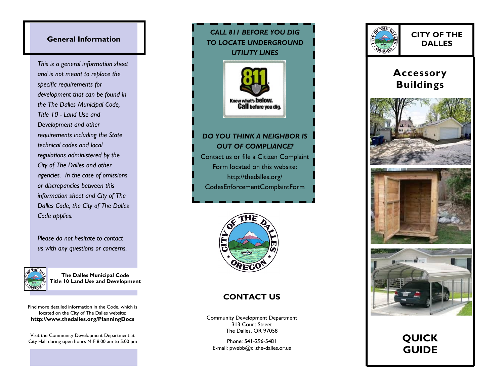### **General Information**

*This is a general information sheet and is not meant to replace the specific requirements for development that can be found in the The Dalles Municipal Code, Title 10 - Land Use and Development and other requirements including the State technical codes and local regulations administered by the City of The Dalles and other agencies. In the case of omissions or discrepancies between this information sheet and City of The Dalles Code, the City of The Dalles Code applies.* 

*Please do not hesitate to contact us with any questions or concerns.*



**The Dalles Municipal Code Title 10 Land Use and Development**

Find more detailed information in the Code, which is located on the City of The Dalles website: **http://www.thedalles.org/PlanningDocs** 

Visit the Community Development Department at City Hall during open hours M-F 8:00 am to 5:00 pm





#### **CONTACT US**

Community Development Department 313 Court Street The Dalles, OR 97058

Phone: 541-296-5481 E-mail: pwebb@ci.the-dalles.or.us



**CITY OF THE DALLES**

## **Accessory Buildings**







# **QUICK GUIDE**